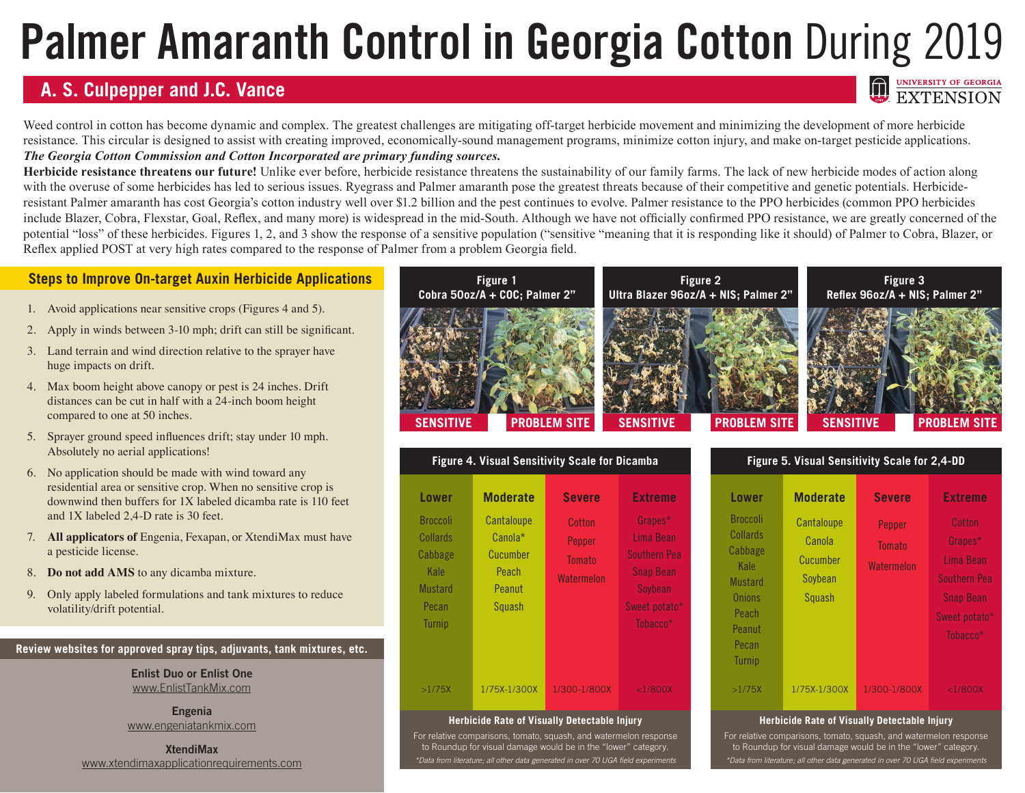# **Palmer Amaranth Control in Georgia Cotton During 2019**

## **A. S. Culpepper and J.C. Vance**

Weed control in cotton has become dynamic and complex. The greatest challenges are mitigating off-target herbicide movement and minimizing the development of more herbicide resistance. This circular is designed to assist with creating improved, economically-sound management programs, minimize cotton injury, and make on-target pesticide applications. *The Georgia Cotton Commission and Cotton Incorporated are primary funding sources.*

**Herbicide resistance threatens our future!** Unlike ever before, herbicide resistance threatens the sustainability of our family farms. The lack of new herbicide modes of action along with the overuse of some herbicides has led to serious issues. Ryegrass and Palmer amaranth pose the greatest threats because of their competitive and genetic potentials. Herbicideresistant Palmer amaranth has cost Georgia's cotton industry well over \$1.2 billion and the pest continues to evolve. Palmer resistance to the PPO herbicides (common PPO herbicides include Blazer, Cobra, Flexstar, Goal, Reflex, and many more) is widespread in the mid-South. Although we have not officially confirmed PPO resistance, we are greatly concerned of the potential "loss" of these herbicides. Figures 1, 2, and 3 show the response of a sensitive population ("sensitive "meaning that it is responding like it should) of Palmer to Cobra, Blazer, or Reflex applied POST at very high rates compared to the response of Palmer from a problem Georgia field.

## **Steps to Improve On-target Auxin Herbicide Applications**

- 1. Avoid applications near sensitive crops (Figures 4 and 5).
- 2. Apply in winds between 3-10 mph; drift can still be significant.
- 3. Land terrain and wind direction relative to the sprayer have huge impacts on drift.
- 4. Max boom height above canopy or pest is 24 inches. Drift distances can be cut in half with a 24-inch boom height compared to one at 50 inches.
- 5. Sprayer ground speed influences drift; stay under 10 mph. Absolutely no aerial applications!
- 6. No application should be made with wind toward any residential area or sensitive crop. When no sensitive crop is downwind then buffers for 1X labeled dicamba rate is 110 feet and 1X labeled 2,4-D rate is 30 feet.
- 7. **All applicators of** Engenia, Fexapan, or XtendiMax must have a pesticide license.
- 8. **Do not add AMS** to any dicamba mixture.
- 9. Only apply labeled formulations and tank mixtures to reduce volatility/drift potential.

**Review websites for approved spray tips, adjuvants, tank mixtures, etc.**

**Enlist Duo or Enlist One** www.EnlistTankMix.com

**Engenia** www.engeniatankmix.com

**XtendiMax** www.xtendimaxapplicationrequirements.com



| <b>Figure 4. Visual Sensitivity Scale for Dicamba</b>                                                      |                                                                                          |                                                                  |                                                                                                                           |  |  |
|------------------------------------------------------------------------------------------------------------|------------------------------------------------------------------------------------------|------------------------------------------------------------------|---------------------------------------------------------------------------------------------------------------------------|--|--|
| <b>Lower</b><br><b>Broccoli</b><br>Collards<br>Cabbage<br>Kale<br><b>Mustard</b><br>Pecan<br><b>Turnip</b> | <b>Moderate</b><br>Cantaloupe<br>Canola*<br>Cucumber<br>Peach<br>Peanut<br><b>Squash</b> | <b>Severe</b><br>Cotton<br>Pepper<br><b>Tomato</b><br>Watermelon | <b>Extreme</b><br>Grapes*<br>Lima Bean<br><b>Southern Pea</b><br><b>Snap Bean</b><br>Soybean<br>Sweet potato*<br>Tobacco* |  |  |
| >1/75X                                                                                                     | 1/75X-1/300X                                                                             | 1/300-1/800X                                                     | $<$ 1/800 $X$                                                                                                             |  |  |

#### **Herbicide Rate of Visually Detectable Injury**

For relative comparisons, tomato, squash, and watermelon response to Roundup for visual damage would be in the "lower" category. *\*Data from literature; all other data generated in over 70 UGA field experiments*

| Figure 5. Visual Sensitivity Scale for 2,4-DD                                                                           |                                                       |                                       |                                                                                                                    |
|-------------------------------------------------------------------------------------------------------------------------|-------------------------------------------------------|---------------------------------------|--------------------------------------------------------------------------------------------------------------------|
| <b>Lower</b>                                                                                                            | <b>Moderate</b>                                       | <b>Severe</b>                         | <b>Extreme</b>                                                                                                     |
| <b>Broccoli</b><br>Collards<br>Cabbage<br>Kale<br><b>Mustard</b><br>Onions<br>Peach<br>Peanut<br>Pecan<br><b>Turnip</b> | Cantaloupe<br>Canola<br>Cucumber<br>Soybean<br>Squash | Pepper<br><b>Tomato</b><br>Watermelon | Cotton<br>Grapes*<br>Lima Bean<br><b>Southern Pea</b><br><b>Snap Bean</b><br>Sweet potato*<br>Tobacco <sup>*</sup> |
| >1/75X                                                                                                                  | 1/75X-1/300X                                          | 1/300-1/800X                          | $<$ 1/800X                                                                                                         |

EXTENSION

#### **Herbicide Rate of Visually Detectable Injury**

For relative comparisons, tomato, squash, and watermelon response to Roundup for visual damage would be in the "lower" category. *\*Data from literature; all other data generated in over 70 UGA field experiments*